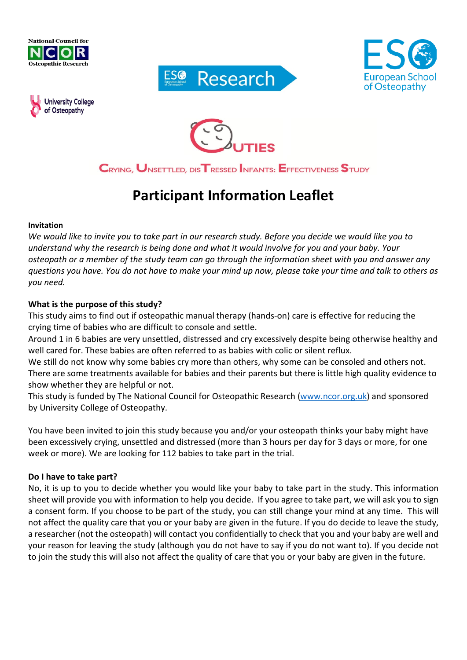









CRYING, UNSETTLED, DIS TRESSED INFANTS: EFFECTIVENESS STUDY

# **Participant Information Leaflet**

#### **Invitation**

*We would like to invite you to take part in our research study. Before you decide we would like you to understand why the research is being done and what it would involve for you and your baby. Your osteopath or a member of the study team can go through the information sheet with you and answer any questions you have. You do not have to make your mind up now, please take your time and talk to others as you need.*

#### **What is the purpose of this study?**

This study aims to find out if osteopathic manual therapy (hands-on) care is effective for reducing the crying time of babies who are difficult to console and settle.

Around 1 in 6 babies are very unsettled, distressed and cry excessively despite being otherwise healthy and well cared for. These babies are often referred to as babies with colic or silent reflux.

We still do not know why some babies cry more than others, why some can be consoled and others not. There are some treatments available for babies and their parents but there is little high quality evidence to show whether they are helpful or not.

This study is funded by The National Council for Osteopathic Research [\(www.ncor.org.uk\)](http://www.ncor.org.uk/) and sponsored by University College of Osteopathy.

You have been invited to join this study because you and/or your osteopath thinks your baby might have been excessively crying, unsettled and distressed (more than 3 hours per day for 3 days or more, for one week or more). We are looking for 112 babies to take part in the trial.

#### **Do I have to take part?**

No, it is up to you to decide whether you would like your baby to take part in the study. This information sheet will provide you with information to help you decide. If you agree to take part, we will ask you to sign a consent form. If you choose to be part of the study, you can still change your mind at any time. This will not affect the quality care that you or your baby are given in the future. If you do decide to leave the study, a researcher (not the osteopath) will contact you confidentially to check that you and your baby are well and your reason for leaving the study (although you do not have to say if you do not want to). If you decide not to join the study this will also not affect the quality of care that you or your baby are given in the future.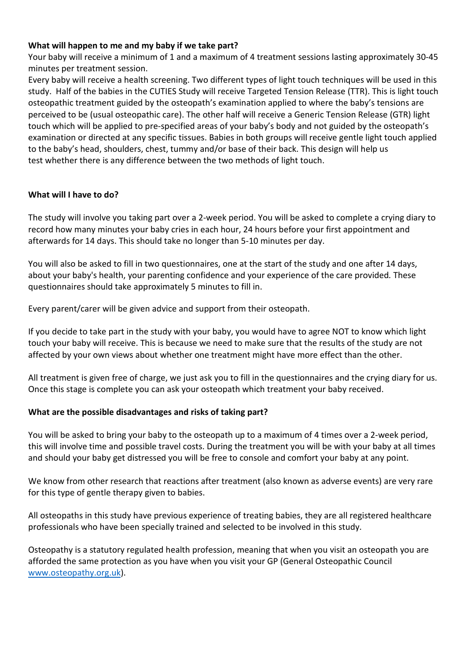# **What will happen to me and my baby if we take part?**

Your baby will receive a minimum of 1 and a maximum of 4 treatment sessions lasting approximately 30-45 minutes per treatment session.

Every baby will receive a health screening. Two different types of light touch techniques will be used in this study. Half of the babies in the CUTIES Study will receive Targeted Tension Release (TTR). This is light touch osteopathic treatment guided by the osteopath's examination applied to where the baby's tensions are perceived to be (usual osteopathic care). The other half will receive a Generic Tension Release (GTR) light touch which will be applied to pre-specified areas of your baby's body and not guided by the osteopath's examination or directed at any specific tissues. Babies in both groups will receive gentle light touch applied to the baby's head, shoulders, chest, tummy and/or base of their back. This design will help us test whether there is any difference between the two methods of light touch.

#### **What will I have to do?**

The study will involve you taking part over a 2-week period. You will be asked to complete a crying diary to record how many minutes your baby cries in each hour, 24 hours before your first appointment and afterwards for 14 days. This should take no longer than 5-10 minutes per day.

You will also be asked to fill in two questionnaires, one at the start of the study and one after 14 days, about your baby's health, your parenting confidence and your experience of the care provided*.* These questionnaires should take approximately 5 minutes to fill in.

Every parent/carer will be given advice and support from their osteopath.

If you decide to take part in the study with your baby, you would have to agree NOT to know which light touch your baby will receive. This is because we need to make sure that the results of the study are not affected by your own views about whether one treatment might have more effect than the other.

All treatment is given free of charge, we just ask you to fill in the questionnaires and the crying diary for us. Once this stage is complete you can ask your osteopath which treatment your baby received.

# **What are the possible disadvantages and risks of taking part?**

You will be asked to bring your baby to the osteopath up to a maximum of 4 times over a 2-week period, this will involve time and possible travel costs. During the treatment you will be with your baby at all times and should your baby get distressed you will be free to console and comfort your baby at any point.

We know from other research that reactions after treatment (also known as adverse events) are very rare for this type of gentle therapy given to babies.

All osteopaths in this study have previous experience of treating babies, they are all registered healthcare professionals who have been specially trained and selected to be involved in this study.

Osteopathy is a statutory regulated health profession, meaning that when you visit an osteopath you are afforded the same protection as you have when you visit your GP (General Osteopathic Council [www.osteopathy.org.uk\)](http://www.osteopathy.org.uk/).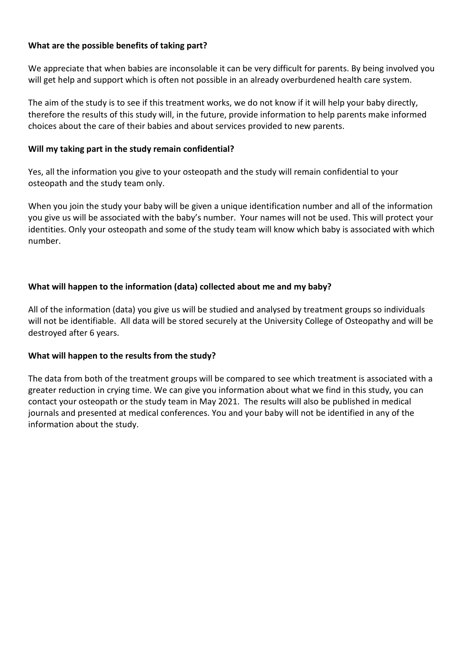## **What are the possible benefits of taking part?**

We appreciate that when babies are inconsolable it can be very difficult for parents. By being involved you will get help and support which is often not possible in an already overburdened health care system.

The aim of the study is to see if this treatment works, we do not know if it will help your baby directly, therefore the results of this study will, in the future, provide information to help parents make informed choices about the care of their babies and about services provided to new parents.

#### **Will my taking part in the study remain confidential?**

Yes, all the information you give to your osteopath and the study will remain confidential to your osteopath and the study team only.

When you join the study your baby will be given a unique identification number and all of the information you give us will be associated with the baby's number. Your names will not be used. This will protect your identities. Only your osteopath and some of the study team will know which baby is associated with which number.

# **What will happen to the information (data) collected about me and my baby?**

All of the information (data) you give us will be studied and analysed by treatment groups so individuals will not be identifiable. All data will be stored securely at the University College of Osteopathy and will be destroyed after 6 years.

# **What will happen to the results from the study?**

The data from both of the treatment groups will be compared to see which treatment is associated with a greater reduction in crying time. We can give you information about what we find in this study, you can contact your osteopath or the study team in May 2021. The results will also be published in medical journals and presented at medical conferences. You and your baby will not be identified in any of the information about the study.